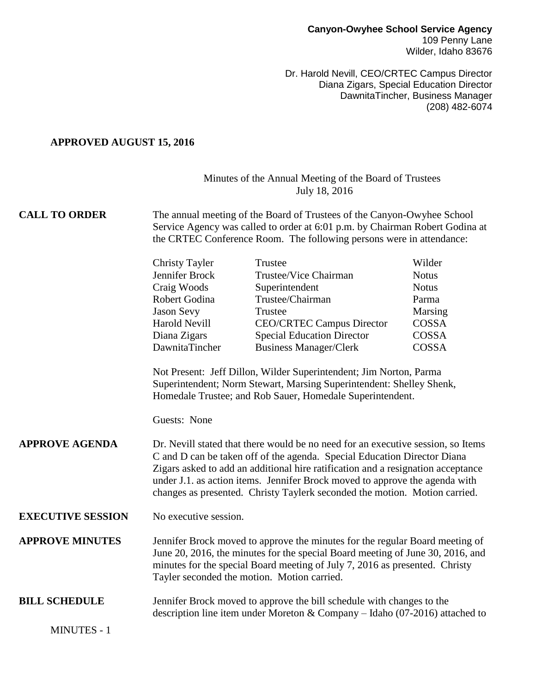Dr. Harold Nevill, CEO/CRTEC Campus Director Diana Zigars, Special Education Director DawnitaTincher, Business Manager (208) 482-6074

#### **APPROVED AUGUST 15, 2016**

### Minutes of the Annual Meeting of the Board of Trustees July 18, 2016

#### **CALL TO ORDER** The annual meeting of the Board of Trustees of the Canyon-Owyhee School Service Agency was called to order at 6:01 p.m. by Chairman Robert Godina at the CRTEC Conference Room. The following persons were in attendance:

| <b>Christy Tayler</b> | Trustee                           | Wilder       |
|-----------------------|-----------------------------------|--------------|
| Jennifer Brock        | Trustee/Vice Chairman             | <b>Notus</b> |
| Craig Woods           | Superintendent                    | <b>Notus</b> |
| Robert Godina         | Trustee/Chairman                  | Parma        |
| Jason Sevy            | Trustee                           | Marsing      |
| <b>Harold Nevill</b>  | <b>CEO/CRTEC Campus Director</b>  | COSSA        |
| Diana Zigars          | <b>Special Education Director</b> | COSSA        |
| DawnitaTincher        | <b>Business Manager/Clerk</b>     | COSSA        |
|                       |                                   |              |

Not Present: Jeff Dillon, Wilder Superintendent; Jim Norton, Parma Superintendent; Norm Stewart, Marsing Superintendent: Shelley Shenk, Homedale Trustee; and Rob Sauer, Homedale Superintendent.

Guests: None

#### **APPROVE AGENDA** Dr. Nevill stated that there would be no need for an executive session, so Items C and D can be taken off of the agenda. Special Education Director Diana Zigars asked to add an additional hire ratification and a resignation acceptance under J.1. as action items. Jennifer Brock moved to approve the agenda with changes as presented. Christy Taylerk seconded the motion. Motion carried.

## **EXECUTIVE SESSION** No executive session.

**APPROVE MINUTES** Jennifer Brock moved to approve the minutes for the regular Board meeting of June 20, 2016, the minutes for the special Board meeting of June 30, 2016, and minutes for the special Board meeting of July 7, 2016 as presented. Christy Tayler seconded the motion. Motion carried.

## **BILL SCHEDULE** Jennifer Brock moved to approve the bill schedule with changes to the description line item under Moreton & Company – Idaho (07-2016) attached to

MINUTES - 1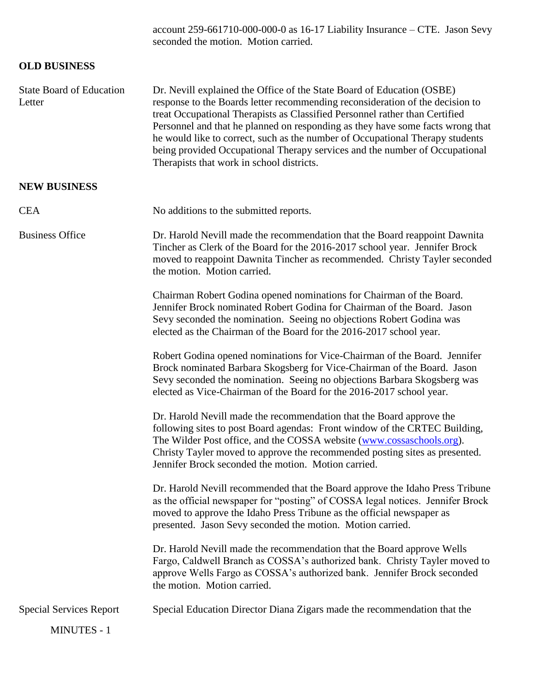account 259-661710-000-000-0 as 16-17 Liability Insurance – CTE. Jason Sevy seconded the motion. Motion carried.

# **OLD BUSINESS**

| <b>State Board of Education</b><br>Letter | Dr. Nevill explained the Office of the State Board of Education (OSBE)<br>response to the Boards letter recommending reconsideration of the decision to<br>treat Occupational Therapists as Classified Personnel rather than Certified<br>Personnel and that he planned on responding as they have some facts wrong that<br>he would like to correct, such as the number of Occupational Therapy students<br>being provided Occupational Therapy services and the number of Occupational<br>Therapists that work in school districts. |
|-------------------------------------------|---------------------------------------------------------------------------------------------------------------------------------------------------------------------------------------------------------------------------------------------------------------------------------------------------------------------------------------------------------------------------------------------------------------------------------------------------------------------------------------------------------------------------------------|
| <b>NEW BUSINESS</b>                       |                                                                                                                                                                                                                                                                                                                                                                                                                                                                                                                                       |
| <b>CEA</b>                                | No additions to the submitted reports.                                                                                                                                                                                                                                                                                                                                                                                                                                                                                                |
| <b>Business Office</b>                    | Dr. Harold Nevill made the recommendation that the Board reappoint Dawnita<br>Tincher as Clerk of the Board for the 2016-2017 school year. Jennifer Brock<br>moved to reappoint Dawnita Tincher as recommended. Christy Tayler seconded<br>the motion. Motion carried.                                                                                                                                                                                                                                                                |
|                                           | Chairman Robert Godina opened nominations for Chairman of the Board.<br>Jennifer Brock nominated Robert Godina for Chairman of the Board. Jason<br>Sevy seconded the nomination. Seeing no objections Robert Godina was<br>elected as the Chairman of the Board for the 2016-2017 school year.                                                                                                                                                                                                                                        |
|                                           | Robert Godina opened nominations for Vice-Chairman of the Board. Jennifer<br>Brock nominated Barbara Skogsberg for Vice-Chairman of the Board. Jason<br>Sevy seconded the nomination. Seeing no objections Barbara Skogsberg was<br>elected as Vice-Chairman of the Board for the 2016-2017 school year.                                                                                                                                                                                                                              |
|                                           | Dr. Harold Nevill made the recommendation that the Board approve the<br>following sites to post Board agendas: Front window of the CRTEC Building,<br>The Wilder Post office, and the COSSA website (www.cossaschools.org).<br>Christy Tayler moved to approve the recommended posting sites as presented.<br>Jennifer Brock seconded the motion. Motion carried.                                                                                                                                                                     |
|                                           | Dr. Harold Nevill recommended that the Board approve the Idaho Press Tribune<br>as the official newspaper for "posting" of COSSA legal notices. Jennifer Brock<br>moved to approve the Idaho Press Tribune as the official newspaper as<br>presented. Jason Sevy seconded the motion. Motion carried.                                                                                                                                                                                                                                 |
|                                           | Dr. Harold Nevill made the recommendation that the Board approve Wells<br>Fargo, Caldwell Branch as COSSA's authorized bank. Christy Tayler moved to<br>approve Wells Fargo as COSSA's authorized bank. Jennifer Brock seconded<br>the motion. Motion carried.                                                                                                                                                                                                                                                                        |
| <b>Special Services Report</b>            | Special Education Director Diana Zigars made the recommendation that the                                                                                                                                                                                                                                                                                                                                                                                                                                                              |
| <b>MINUTES - 1</b>                        |                                                                                                                                                                                                                                                                                                                                                                                                                                                                                                                                       |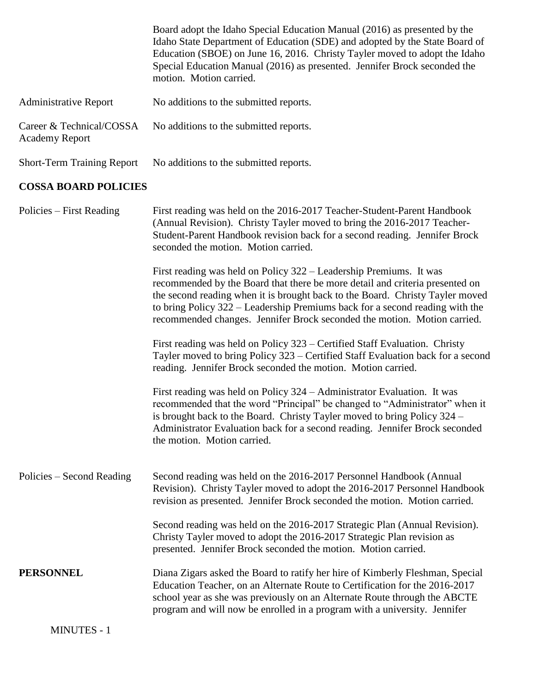|                                                   | Board adopt the Idaho Special Education Manual (2016) as presented by the<br>Idaho State Department of Education (SDE) and adopted by the State Board of<br>Education (SBOE) on June 16, 2016. Christy Tayler moved to adopt the Idaho<br>Special Education Manual (2016) as presented. Jennifer Brock seconded the<br>motion. Motion carried.                                                  |
|---------------------------------------------------|-------------------------------------------------------------------------------------------------------------------------------------------------------------------------------------------------------------------------------------------------------------------------------------------------------------------------------------------------------------------------------------------------|
| <b>Administrative Report</b>                      | No additions to the submitted reports.                                                                                                                                                                                                                                                                                                                                                          |
| Career & Technical/COSSA<br><b>Academy Report</b> | No additions to the submitted reports.                                                                                                                                                                                                                                                                                                                                                          |
| <b>Short-Term Training Report</b>                 | No additions to the submitted reports.                                                                                                                                                                                                                                                                                                                                                          |
| <b>COSSA BOARD POLICIES</b>                       |                                                                                                                                                                                                                                                                                                                                                                                                 |
| Policies – First Reading                          | First reading was held on the 2016-2017 Teacher-Student-Parent Handbook<br>(Annual Revision). Christy Tayler moved to bring the 2016-2017 Teacher-<br>Student-Parent Handbook revision back for a second reading. Jennifer Brock<br>seconded the motion. Motion carried.                                                                                                                        |
|                                                   | First reading was held on Policy 322 – Leadership Premiums. It was<br>recommended by the Board that there be more detail and criteria presented on<br>the second reading when it is brought back to the Board. Christy Tayler moved<br>to bring Policy 322 – Leadership Premiums back for a second reading with the<br>recommended changes. Jennifer Brock seconded the motion. Motion carried. |
|                                                   | First reading was held on Policy 323 – Certified Staff Evaluation. Christy<br>Tayler moved to bring Policy 323 – Certified Staff Evaluation back for a second<br>reading. Jennifer Brock seconded the motion. Motion carried.                                                                                                                                                                   |
|                                                   | First reading was held on Policy 324 – Administrator Evaluation. It was<br>recommended that the word "Principal" be changed to "Administrator" when it<br>is brought back to the Board. Christy Tayler moved to bring Policy 324 -<br>Administrator Evaluation back for a second reading. Jennifer Brock seconded<br>the motion. Motion carried.                                                |
| Policies – Second Reading                         | Second reading was held on the 2016-2017 Personnel Handbook (Annual<br>Revision). Christy Tayler moved to adopt the 2016-2017 Personnel Handbook<br>revision as presented. Jennifer Brock seconded the motion. Motion carried.                                                                                                                                                                  |
|                                                   | Second reading was held on the 2016-2017 Strategic Plan (Annual Revision).<br>Christy Tayler moved to adopt the 2016-2017 Strategic Plan revision as<br>presented. Jennifer Brock seconded the motion. Motion carried.                                                                                                                                                                          |
| <b>PERSONNEL</b>                                  | Diana Zigars asked the Board to ratify her hire of Kimberly Fleshman, Special<br>Education Teacher, on an Alternate Route to Certification for the 2016-2017<br>school year as she was previously on an Alternate Route through the ABCTE<br>program and will now be enrolled in a program with a university. Jennifer                                                                          |
| <b>MINUTES - 1</b>                                |                                                                                                                                                                                                                                                                                                                                                                                                 |